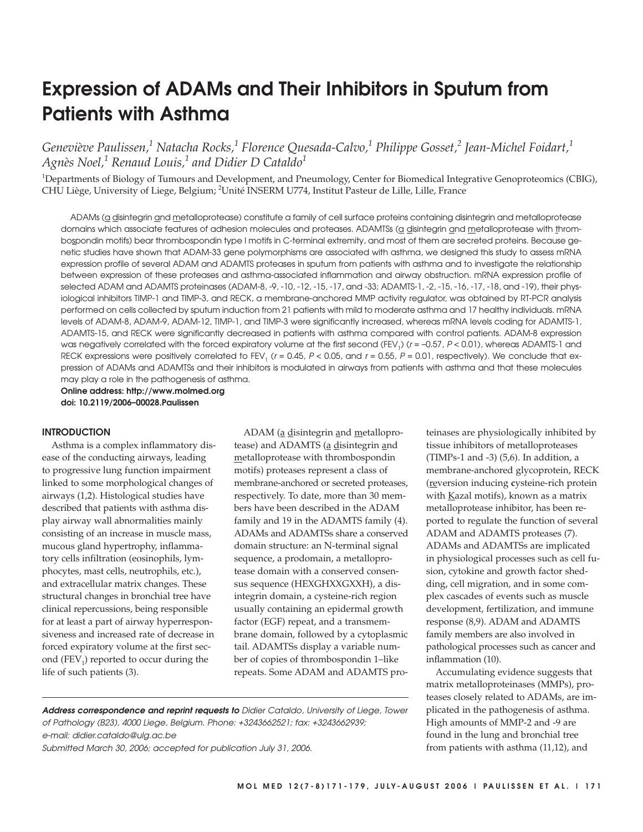# **Expression of ADAMs and Their Inhibitors in Sputum from Patients with Asthma**

*Geneviève Paulissen,<sup>1</sup> Natacha Rocks,<sup>1</sup> Florence Quesada-Calvo,1 Philippe Gosset,<sup>2</sup> Jean-Michel Foidart,1 Agnès Noel,<sup>1</sup> Renaud Louis,<sup>1</sup> and Didier D Cataldo1*

<sup>1</sup>Departments of Biology of Tumours and Development, and Pneumology, Center for Biomedical Integrative Genoproteomics (CBIG), CHU Liège, University of Liege, Belgium; <sup>2</sup>Unité INSERM U774, Institut Pasteur de Lille, Lille, France

ADAMs (a disintegrin and metalloprotease) constitute a family of cell surface proteins containing disintegrin and metalloprotease domains which associate features of adhesion molecules and proteases. ADAMTSs (a disintegrin and metalloprotease with thrombospondin motifs) bear thrombospondin type I motifs in C-terminal extremity, and most of them are secreted proteins. Because genetic studies have shown that ADAM-33 gene polymorphisms are associated with asthma, we designed this study to assess mRNA expression profile of several ADAM and ADAMTS proteases in sputum from patients with asthma and to investigate the relationship between expression of these proteases and asthma-associated inflammation and airway obstruction. mRNA expression profile of selected ADAM and ADAMTS proteinases (ADAM-8, -9, -10, -12, -15, -17, and -33; ADAMTS-1, -2, -15, -16, -17, -18, and -19), their physiological inhibitors TIMP-1 and TIMP-3, and RECK, a membrane-anchored MMP activity regulator, was obtained by RT-PCR analysis performed on cells collected by sputum induction from 21 patients with mild to moderate asthma and 17 healthy individuals. mRNA levels of ADAM-8, ADAM-9, ADAM-12, TIMP-1, and TIMP-3 were significantly increased, whereas mRNA levels coding for ADAMTS-1, ADAMTS-15, and RECK were significantly decreased in patients with asthma compared with control patients. ADAM-8 expression was negatively correlated with the forced expiratory volume at the first second (FEV<sub>1</sub>) ( $r = -0.57$ ,  $P < 0.01$ ), whereas ADAMTS-1 and RECK expressions were positively correlated to FEV<sub>1</sub> ( $r = 0.45$ ,  $P < 0.05$ , and  $r = 0.55$ ,  $P = 0.01$ , respectively). We conclude that expression of ADAMs and ADAMTSs and their inhibitors is modulated in airways from patients with asthma and that these molecules may play a role in the pathogenesis of asthma.

**Online address: http://www.molmed.org doi: 10.2119/2006–00028.Paulissen**

#### **INTRODUCTION**

Asthma is a complex inflammatory disease of the conducting airways, leading to progressive lung function impairment linked to some morphological changes of airways (1,2). Histological studies have described that patients with asthma display airway wall abnormalities mainly consisting of an increase in muscle mass, mucous gland hypertrophy, inflammatory cells infiltration (eosinophils, lymphocytes, mast cells, neutrophils, etc.), and extracellular matrix changes. These structural changes in bronchial tree have clinical repercussions, being responsible for at least a part of airway hyperresponsiveness and increased rate of decrease in forced expiratory volume at the first second  $(FEV_1)$  reported to occur during the life of such patients (3).

ADAM (a disintegrin and metalloprotease) and ADAMTS (a disintegrin and metalloprotease with thrombospondin motifs) proteases represent a class of membrane-anchored or secreted proteases, respectively. To date, more than 30 members have been described in the ADAM family and 19 in the ADAMTS family (4). ADAMs and ADAMTSs share a conserved domain structure: an N-terminal signal sequence, a prodomain, a metalloprotease domain with a conserved consensus sequence (HEXGHXXGXXH), a disintegrin domain, a cysteine-rich region usually containing an epidermal growth factor (EGF) repeat, and a transmembrane domain, followed by a cytoplasmic tail. ADAMTSs display a variable number of copies of thrombospondin 1–like repeats. Some ADAM and ADAMTS pro-

**Address correspondence and reprint requests to** Didier Cataldo, University of Liege, Tower of Pathology (B23), 4000 Liege, Belgium. Phone: +3243662521; fax: +3243662939; e-mail: didier.cataldo@ulg.ac.be Submitted March 30, 2006; accepted for publication July 31, 2006.

teinases are physiologically inhibited by tissue inhibitors of metalloproteases (TIMPs-1 and -3) (5,6). In addition, a membrane-anchored glycoprotein, RECK (reversion inducing **c**ysteine-rich protein with  $K$ azal motifs), known as a matrix metalloprotease inhibitor, has been reported to regulate the function of several ADAM and ADAMTS proteases (7). ADAMs and ADAMTSs are implicated in physiological processes such as cell fusion, cytokine and growth factor shedding, cell migration, and in some complex cascades of events such as muscle development, fertilization, and immune response (8,9). ADAM and ADAMTS family members are also involved in pathological processes such as cancer and inflammation (10).

Accumulating evidence suggests that matrix metalloproteinases (MMPs), proteases closely related to ADAMs, are implicated in the pathogenesis of asthma. High amounts of MMP-2 and -9 are found in the lung and bronchial tree from patients with asthma (11,12), and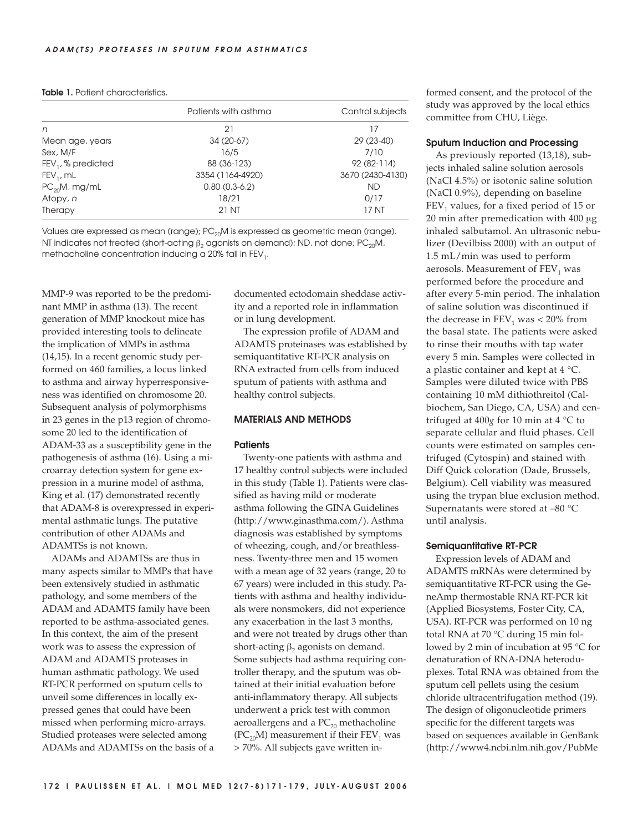# **Table 1.** Patient characteristics.

|                      | Patients with asthma | Control subjects |
|----------------------|----------------------|------------------|
| n                    | 21                   | 17               |
| Mean age, years      | 34 (20-67)           | 29 (23-40)       |
| Sex, M/F             | 16/5                 | 7/10             |
| $FEV1$ , % predicted | 88 (36-123)          | 92 (82-114)      |
| $FEV1$ , mL          | 3354 (1164-4920)     | 3670 (2430-4130) |
| $PC_{20}M$ , mg/mL   | $0.80(0.3-6.2)$      | <b>ND</b>        |
| Atopy, n             | 18/21                | 0/17             |
| Therapy              | 21 NT                | 17 NT            |

Values are expressed as mean (range);  $PC_{20}$ M is expressed as geometric mean (range). NT indicates not treated (short-acting  $\beta_2$  agonists on demand); ND, not done; PC<sub>20</sub>M, methacholine concentration inducing a 20% fall in  $FEV<sub>1</sub>$ .

MMP-9 was reported to be the predominant MMP in asthma (13). The recent generation of MMP knockout mice has provided interesting tools to delineate the implication of MMPs in asthma (14,15). In a recent genomic study performed on 460 families, a locus linked to asthma and airway hyperresponsiveness was identified on chromosome 20. Subsequent analysis of polymorphisms in 23 genes in the p13 region of chromosome 20 led to the identification of ADAM-33 as a susceptibility gene in the pathogenesis of asthma (16). Using a microarray detection system for gene expression in a murine model of asthma, King et al. (17) demonstrated recently that ADAM-8 is overexpressed in experimental asthmatic lungs. The putative contribution of other ADAMs and ADAMTSs is not known.

ADAMs and ADAMTSs are thus in many aspects similar to MMPs that have been extensively studied in asthmatic pathology, and some members of the ADAM and ADAMTS family have been reported to be asthma-associated genes. In this context, the aim of the present work was to assess the expression of ADAM and ADAMTS proteases in human asthmatic pathology. We used RT-PCR performed on sputum cells to unveil some differences in locally expressed genes that could have been missed when performing micro-arrays. Studied proteases were selected among ADAMs and ADAMTSs on the basis of a documented ectodomain sheddase activity and a reported role in inflammation or in lung development.

The expression profile of ADAM and ADAMTS proteinases was established by semiquantitative RT-PCR analysis on RNA extracted from cells from induced sputum of patients with asthma and healthy control subjects.

# **MATERIALS AND METHODS**

#### **Patients**

Twenty-one patients with asthma and 17 healthy control subjects were included in this study (Table 1). Patients were classified as having mild or moderate asthma following the GINA Guidelines (http://www.ginasthma.com/). Asthma diagnosis was established by symptoms of wheezing, cough, and/or breathlessness. Twenty-three men and 15 women with a mean age of 32 years (range, 20 to 67 years) were included in this study. Patients with asthma and healthy individuals were nonsmokers, did not experience any exacerbation in the last 3 months, and were not treated by drugs other than short-acting  $\beta_2$  agonists on demand. Some subjects had asthma requiring controller therapy, and the sputum was obtained at their initial evaluation before anti-inflammatory therapy. All subjects underwent a prick test with common aeroallergens and a  $PC_{20}$  methacholine (PC<sub>20</sub>M) measurement if their FEV<sub>1</sub> was > 70%. All subjects gave written informed consent, and the protocol of the study was approved by the local ethics committee from CHU, Liège.

#### **Sputum Induction and Processing**

As previously reported (13,18), subjects inhaled saline solution aerosols (NaCl 4.5%) or isotonic saline solution (NaCl 0.9%), depending on baseline  $FEV<sub>1</sub>$  values, for a fixed period of 15 or 20 min after premedication with 400 μg inhaled salbutamol. An ultrasonic nebulizer (Devilbiss 2000) with an output of 1.5 mL/min was used to perform aerosols. Measurement of  $FEV<sub>1</sub>$  was performed before the procedure and after every 5-min period. The inhalation of saline solution was discontinued if the decrease in  $FEV_1$  was < 20% from the basal state. The patients were asked to rinse their mouths with tap water every 5 min. Samples were collected in a plastic container and kept at 4 °C. Samples were diluted twice with PBS containing 10 mM dithiothreitol (Calbiochem, San Diego, CA, USA) and centrifuged at 400*g* for 10 min at 4 °C to separate cellular and fluid phases. Cell counts were estimated on samples centrifuged (Cytospin) and stained with Diff Quick coloration (Dade, Brussels, Belgium). Cell viability was measured using the trypan blue exclusion method. Supernatants were stored at –80 °C until analysis.

#### **Semiquantitative RT-PCR**

Expression levels of ADAM and ADAMTS mRNAs were determined by semiquantitative RT-PCR using the GeneAmp thermostable RNA RT-PCR kit (Applied Biosystems, Foster City, CA, USA). RT-PCR was performed on 10 ng total RNA at 70 °C during 15 min followed by 2 min of incubation at 95 °C for denaturation of RNA-DNA heteroduplexes. Total RNA was obtained from the sputum cell pellets using the cesium chloride ultracentrifugation method (19). The design of oligonucleotide primers specific for the different targets was based on sequences available in GenBank (http://www4.ncbi.nlm.nih.gov/PubMe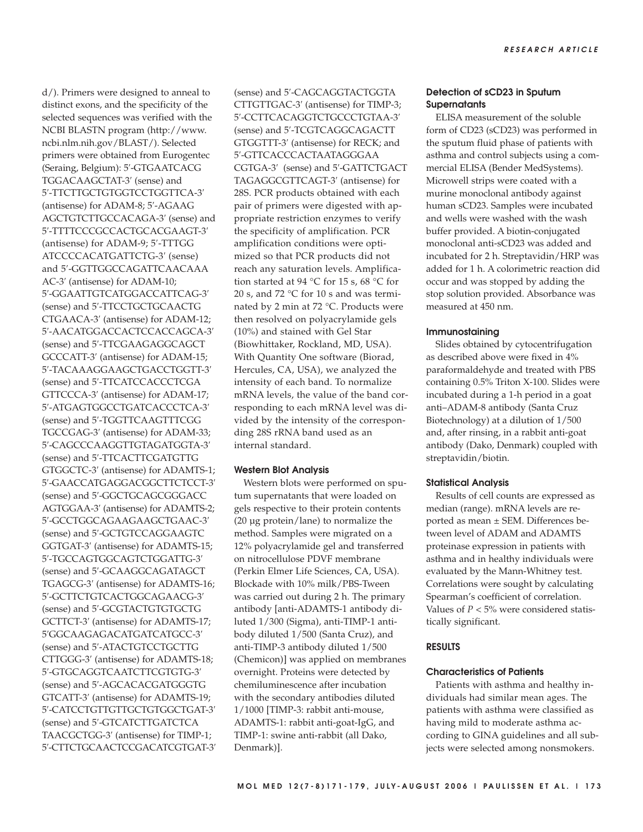d/). Primers were designed to anneal to distinct exons, and the specificity of the selected sequences was verified with the NCBI BLASTN program (http://www. ncbi.nlm.nih.gov/BLAST/). Selected primers were obtained from Eurogentec (Seraing, Belgium): 5′-GTGAATCACG TGGACAAGCTAT-3′ (sense) and 5′-TTCTTGCTGTGGTCCTGGTTCA-3′ (antisense) for ADAM-8; 5′-AGAAG AGCTGTCTTGCCACAGA-3′ (sense) and 5′-TTTTCCCGCCACTGCACGAAGT-3′ (antisense) for ADAM-9; 5′-TTTGG ATCCCCACATGATTCTG-3′ (sense) and 5′-GGTTGGCCAGATTCAACAAA AC-3′ (antisense) for ADAM-10; 5′-GGAATTGTCATGGACCATTCAG-3′ (sense) and 5′-TTCCTGCTGCAACTG CTGAACA-3′ (antisense) for ADAM-12; 5′-AACATGGACCACTCCACCAGCA-3′ (sense) and 5′-TTCGAAGAGGCAGCT GCCCATT-3′ (antisense) for ADAM-15; 5′-TACAAAGGAAGCTGACCTGGTT-3′ (sense) and 5′-TTCATCCACCCTCGA GTTCCCA-3′ (antisense) for ADAM-17; 5′-ATGAGTGGCCTGATCACCCTCA-3′ (sense) and 5′-TGGTTCAAGTTTCGG TGCCGAG-3′ (antisense) for ADAM-33; 5′-CAGCCCAAGGTTGTAGATGGTA-3′ (sense) and 5′-TTCACTTCGATGTTG GTGGCTC-3′ (antisense) for ADAMTS-1; 5′-GAACCATGAGGACGGCTTCTCCT-3′ (sense) and 5′-GGCTGCAGCGGGACC AGTGGAA-3′ (antisense) for ADAMTS-2; 5′-GCCTGGCAGAAGAAGCTGAAC-3′ (sense) and 5′-GCTGTCCAGGAAGTC GGTGAT-3′ (antisense) for ADAMTS-15; 5′-TGCCAGTGGCAGTCTGGATTG-3′ (sense) and 5′-GCAAGGCAGATAGCT TGAGCG-3′ (antisense) for ADAMTS-16; 5′-GCTTCTGTCACTGGCAGAACG-3′ (sense) and 5′-GCGTACTGTGTGCTG GCTTCT-3′ (antisense) for ADAMTS-17; 5′GGCAAGAGACATGATCATGCC-3′ (sense) and 5′-ATACTGTCCTGCTTG CTTGGG-3′ (antisense) for ADAMTS-18; 5′-GTGCAGGTCAATCTTCGTGTG-3′ (sense) and 5′-AGCACACGATGGGTG GTCATT-3′ (antisense) for ADAMTS-19; 5′-CATCCTGTTGTTGCTGTGGCTGAT-3′ (sense) and 5′-GTCATCTTGATCTCA TAACGCTGG-3′ (antisense) for TIMP-1; 5′-CTTCTGCAACTCCGACATCGTGAT-3′ (sense) and 5′-CAGCAGGTACTGGTA CTTGTTGAC-3′ (antisense) for TIMP-3; 5′-CCTTCACAGGTCTGCCCTGTAA-3′ (sense) and 5′-TCGTCAGGCAGACTT GTGGTTT-3′ (antisense) for RECK; and 5′-GTTCACCCACTAATAGGGAA CGTGA-3′ (sense) and 5′-GATTCTGACT TAGAGGCGTTCAGT-3′ (antisense) for 28S. PCR products obtained with each pair of primers were digested with appropriate restriction enzymes to verify the specificity of amplification. PCR amplification conditions were optimized so that PCR products did not reach any saturation levels. Amplification started at 94 °C for 15 s, 68 °C for 20 s, and 72 °C for 10 s and was terminated by 2 min at 72 °C. Products were then resolved on polyacrylamide gels (10%) and stained with Gel Star (Biowhittaker, Rockland, MD, USA). With Quantity One software (Biorad, Hercules, CA, USA), we analyzed the intensity of each band. To normalize mRNA levels, the value of the band corresponding to each mRNA level was divided by the intensity of the corresponding 28S rRNA band used as an internal standard.

# **Western Blot Analysis**

Western blots were performed on sputum supernatants that were loaded on gels respective to their protein contents (20 µg protein/lane) to normalize the method. Samples were migrated on a 12% polyacrylamide gel and transferred on nitrocellulose PDVF membrane (Perkin Elmer Life Sciences, CA, USA). Blockade with 10% milk/PBS-Tween was carried out during 2 h. The primary antibody [anti-ADAMTS-1 antibody diluted 1/300 (Sigma), anti-TIMP-1 antibody diluted 1/500 (Santa Cruz), and anti-TIMP-3 antibody diluted 1/500 (Chemicon)] was applied on membranes overnight. Proteins were detected by chemiluminescence after incubation with the secondary antibodies diluted 1/1000 [TIMP-3: rabbit anti-mouse, ADAMTS-1: rabbit anti-goat-IgG, and TIMP-1: swine anti-rabbit (all Dako, Denmark)].

# **Detection of sCD23 in Sputum Supernatants**

ELISA measurement of the soluble form of CD23 (sCD23) was performed in the sputum fluid phase of patients with asthma and control subjects using a commercial ELISA (Bender MedSystems). Microwell strips were coated with a murine monoclonal antibody against human sCD23. Samples were incubated and wells were washed with the wash buffer provided. A biotin-conjugated monoclonal anti-sCD23 was added and incubated for 2 h. Streptavidin/HRP was added for 1 h. A colorimetric reaction did occur and was stopped by adding the stop solution provided. Absorbance was measured at 450 nm.

#### **Immunostaining**

Slides obtained by cytocentrifugation as described above were fixed in 4% paraformaldehyde and treated with PBS containing 0.5% Triton X-100. Slides were incubated during a 1-h period in a goat anti–ADAM-8 antibody (Santa Cruz Biotechnology) at a dilution of 1/500 and, after rinsing, in a rabbit anti-goat antibody (Dako, Denmark) coupled with streptavidin/biotin.

## **Statistical Analysis**

Results of cell counts are expressed as median (range). mRNA levels are reported as mean ± SEM. Differences between level of ADAM and ADAMTS proteinase expression in patients with asthma and in healthy individuals were evaluated by the Mann-Whitney test. Correlations were sought by calculating Spearman's coefficient of correlation. Values of  $P < 5\%$  were considered statistically significant.

# **RESULTS**

#### **Characteristics of Patients**

Patients with asthma and healthy individuals had similar mean ages. The patients with asthma were classified as having mild to moderate asthma according to GINA guidelines and all subjects were selected among nonsmokers.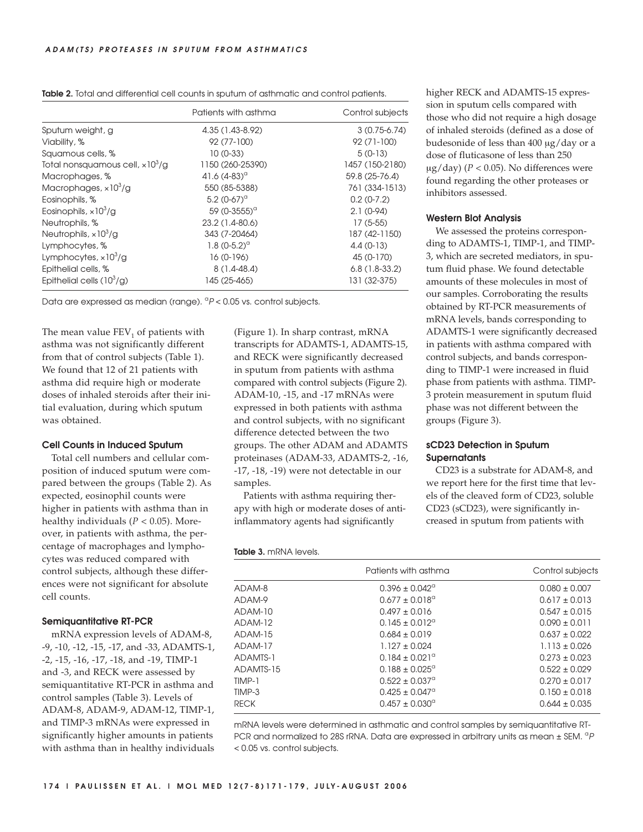|                                          | Patients with asthma                       | Control subjects |
|------------------------------------------|--------------------------------------------|------------------|
| Sputum weight, g                         | 4.35 (1.43-8.92)                           | $3(0.75-6.74)$   |
| Viability, %                             | 92 (77-100)                                | $92(71-100)$     |
| Squamous cells, %                        | $10(0-33)$                                 | $5(0-13)$        |
| Total nonsquamous cell, $\times 10^3/g$  | 1150 (260-25390)                           | 1457 (150-2180)  |
| Macrophages, %                           | 41.6 $(4-83)$ <sup>a</sup>                 | 59.8 (25-76.4)   |
| Macrophages, $\times$ 10 <sup>3</sup> /g | 550 (85-5388)                              | 761 (334-1513)   |
| Eosinophils, %                           | 5.2 $(0-67)$ <sup>a</sup>                  | $0.2(0-7.2)$     |
| Eosinophils, $\times$ 10 <sup>3</sup> /g | 59 (0-3555) <sup><math>\alpha</math></sup> | $2.1(0-94)$      |
| Neutrophils, %                           | 23.2 (1.4-80.6)                            | $17(5-55)$       |
| Neutrophils, $\times$ 10 <sup>3</sup> /g | 343 (7-20464)                              | 187 (42-1150)    |
| Lymphocytes, %                           | 1.8 $(0-5.2)^\circ$                        | $4.4(0-13)$      |
| Lymphocytes, $\times$ 10 <sup>3</sup> /g | $16(0-196)$                                | 45 (0-170)       |
| Epithelial cells, %                      | $8(1,4-48,4)$                              | $6.8(1.8-33.2)$  |
| Epithelial cells $(10^3/g)$              | 145 (25-465)                               | 131 (32-375)     |

Data are expressed as median (range).  ${}^{a}P$  < 0.05 vs. control subjects.

The mean value  $FEV<sub>1</sub>$  of patients with asthma was not significantly different from that of control subjects (Table 1). We found that 12 of 21 patients with asthma did require high or moderate doses of inhaled steroids after their initial evaluation, during which sputum was obtained.

# **Cell Counts in Induced Sputum**

Total cell numbers and cellular composition of induced sputum were compared between the groups (Table 2). As expected, eosinophil counts were higher in patients with asthma than in healthy individuals ( $P < 0.05$ ). Moreover, in patients with asthma, the percentage of macrophages and lymphocytes was reduced compared with control subjects, although these differences were not significant for absolute cell counts.

# **Semiquantitative RT-PCR**

mRNA expression levels of ADAM-8, -9, -10, -12, -15, -17, and -33, ADAMTS-1, -2, -15, -16, -17, -18, and -19, TIMP-1 and -3, and RECK were assessed by semiquantitative RT-PCR in asthma and control samples (Table 3). Levels of ADAM-8, ADAM-9, ADAM-12, TIMP-1, and TIMP-3 mRNAs were expressed in significantly higher amounts in patients with asthma than in healthy individuals

(Figure 1). In sharp contrast, mRNA transcripts for ADAMTS-1, ADAMTS-15, and RECK were significantly decreased in sputum from patients with asthma compared with control subjects (Figure 2). ADAM-10, -15, and -17 mRNAs were expressed in both patients with asthma and control subjects, with no significant difference detected between the two groups. The other ADAM and ADAMTS proteinases (ADAM-33, ADAMTS-2, -16, -17, -18, -19) were not detectable in our samples.

Patients with asthma requiring therapy with high or moderate doses of antiinflammatory agents had significantly

#### **Table 3.** mRNA levels.

|             | Patients with asthma           | Control subjects  |
|-------------|--------------------------------|-------------------|
| ADAM-8      | $0.396 \pm 0.042^{\circ}$      | $0.080 \pm 0.007$ |
| ADAM-9      | $0.677 \pm 0.018$ <sup>a</sup> | $0.617 \pm 0.013$ |
| ADAM-10     | $0.497 \pm 0.016$              | $0.547 \pm 0.015$ |
| ADAM-12     | $0.145 \pm 0.012^{\circ}$      | $0.090 \pm 0.011$ |
| ADAM-15     | $0.684 + 0.019$                | $0.637 + 0.022$   |
| ADAM-17     | $1.127 \pm 0.024$              | $1.113 \pm 0.026$ |
| ADAMTS-1    | $0.184 \pm 0.021$ <sup>o</sup> | $0.273 \pm 0.023$ |
| ADAMTS-15   | $0.188 \pm 0.025^{\circ}$      | $0.522 \pm 0.029$ |
| TIMP-1      | $0.522 \pm 0.037$ <sup>o</sup> | $0.270 \pm 0.017$ |
| TIMP-3      | $0.425 \pm 0.047$ <sup>a</sup> | $0.150 \pm 0.018$ |
| <b>RECK</b> | $0.457 \pm 0.030$ <sup>a</sup> | $0.644 \pm 0.035$ |

mRNA levels were determined in asthmatic and control samples by semiquantitative RT-PCR and normalized to 28S rRNA. Data are expressed in arbitrary units as mean  $\pm$  SEM.  $^{\circ}P$ < 0.05 vs. control subjects.

higher RECK and ADAMTS-15 expression in sputum cells compared with those who did not require a high dosage of inhaled steroids (defined as a dose of budesonide of less than 400 μg/day or a dose of fluticasone of less than 250 μg/day) ( $P < 0.05$ ). No differences were found regarding the other proteases or inhibitors assessed.

# **Western Blot Analysis**

We assessed the proteins corresponding to ADAMTS-1, TIMP-1, and TIMP-3, which are secreted mediators, in sputum fluid phase. We found detectable amounts of these molecules in most of our samples. Corroborating the results obtained by RT-PCR measurements of mRNA levels, bands corresponding to ADAMTS-1 were significantly decreased in patients with asthma compared with control subjects, and bands corresponding to TIMP-1 were increased in fluid phase from patients with asthma. TIMP-3 protein measurement in sputum fluid phase was not different between the groups (Figure 3).

# **sCD23 Detection in Sputum Supernatants**

CD23 is a substrate for ADAM-8, and we report here for the first time that levels of the cleaved form of CD23, soluble CD23 (sCD23), were significantly increased in sputum from patients with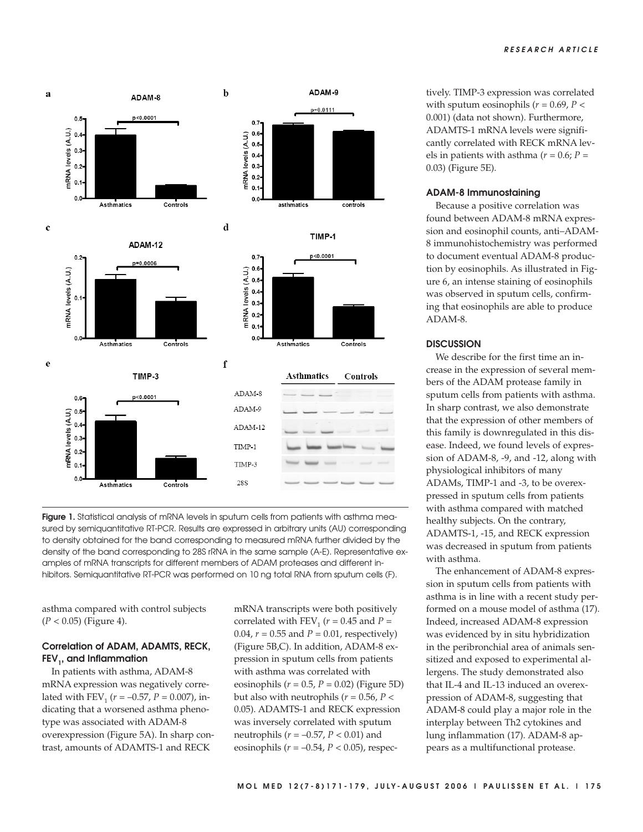

**Figure 1.** Statistical analysis of mRNA levels in sputum cells from patients with asthma measured by semiquantitative RT-PCR. Results are expressed in arbitrary units (AU) corresponding to density obtained for the band corresponding to measured mRNA further divided by the density of the band corresponding to 28S rRNA in the same sample (A-E). Representative examples of mRNA transcripts for different members of ADAM proteases and different inhibitors. Semiquantitative RT-PCR was performed on 10 ng total RNA from sputum cells (F).

asthma compared with control subjects  $(P < 0.05)$  (Figure 4).

# **Correlation of ADAM, ADAMTS, RECK, FEV<sub>1</sub>**, and Inflammation

In patients with asthma, ADAM-8 mRNA expression was negatively correlated with  $FEV_1$  ( $r = -0.57$ ,  $P = 0.007$ ), indicating that a worsened asthma phenotype was associated with ADAM-8 overexpression (Figure 5A). In sharp contrast, amounts of ADAMTS-1 and RECK

mRNA transcripts were both positively correlated with  $FEV_1$  ( $r = 0.45$  and  $P =$ 0.04, *r* = 0.55 and *P* = 0.01, respectively) (Figure 5B,C). In addition, ADAM-8 expression in sputum cells from patients with asthma was correlated with eosinophils (*r* = 0.5, *P* = 0.02) (Figure 5D) but also with neutrophils ( $r = 0.56$ ,  $P <$ 0.05). ADAMTS-1 and RECK expression was inversely correlated with sputum neutrophils (*r* = –0.57, *P* < 0.01) and eosinophils (*r* = –0.54, *P* < 0.05), respectively. TIMP-3 expression was correlated with sputum eosinophils ( $r = 0.69$ ,  $P <$ 0.001) (data not shown). Furthermore, ADAMTS-1 mRNA levels were significantly correlated with RECK mRNA levels in patients with asthma ( $r = 0.6$ ;  $P =$ 0.03) (Figure 5E).

# **ADAM-8 Immunostaining**

Because a positive correlation was found between ADAM-8 mRNA expression and eosinophil counts, anti–ADAM-8 immunohistochemistry was performed to document eventual ADAM-8 production by eosinophils. As illustrated in Figure 6, an intense staining of eosinophils was observed in sputum cells, confirming that eosinophils are able to produce ADAM-8.

# **DISCUSSION**

We describe for the first time an increase in the expression of several members of the ADAM protease family in sputum cells from patients with asthma. In sharp contrast, we also demonstrate that the expression of other members of this family is downregulated in this disease. Indeed, we found levels of expression of ADAM-8, -9, and -12, along with physiological inhibitors of many ADAMs, TIMP-1 and -3, to be overexpressed in sputum cells from patients with asthma compared with matched healthy subjects. On the contrary, ADAMTS-1, -15, and RECK expression was decreased in sputum from patients with asthma.

The enhancement of ADAM-8 expression in sputum cells from patients with asthma is in line with a recent study performed on a mouse model of asthma (17). Indeed, increased ADAM-8 expression was evidenced by in situ hybridization in the peribronchial area of animals sensitized and exposed to experimental allergens. The study demonstrated also that IL-4 and IL-13 induced an overexpression of ADAM-8, suggesting that ADAM-8 could play a major role in the interplay between Th2 cytokines and lung inflammation (17). ADAM-8 appears as a multifunctional protease.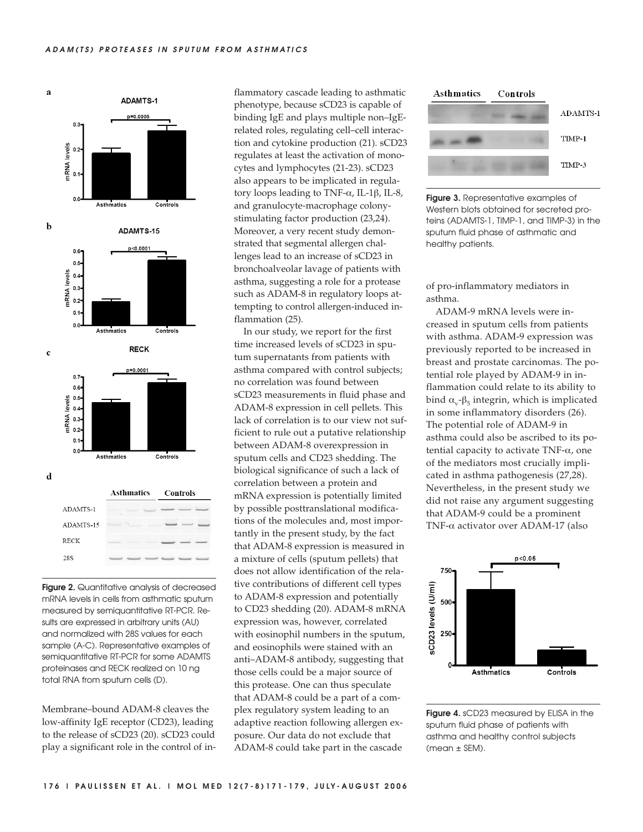

**Figure 2.** Quantitative analysis of decreased mRNA levels in cells from asthmatic sputum measured by semiquantitative RT-PCR. Results are expressed in arbitrary units (AU) and normalized with 28S values for each sample (A-C). Representative examples of semiquantitative RT-PCR for some ADAMTS proteinases and RECK realized on 10 ng total RNA from sputum cells (D).

Membrane–bound ADAM-8 cleaves the low-affinity IgE receptor (CD23), leading to the release of sCD23 (20). sCD23 could play a significant role in the control of inflammatory cascade leading to asthmatic phenotype, because sCD23 is capable of binding IgE and plays multiple non–IgErelated roles, regulating cell–cell interaction and cytokine production (21). sCD23 regulates at least the activation of monocytes and lymphocytes (21-23). sCD23 also appears to be implicated in regulatory loops leading to TNF-α, IL-1β, IL-8, and granulocyte-macrophage colonystimulating factor production (23,24). Moreover, a very recent study demonstrated that segmental allergen challenges lead to an increase of sCD23 in bronchoalveolar lavage of patients with asthma, suggesting a role for a protease such as ADAM-8 in regulatory loops attempting to control allergen-induced inflammation (25).

In our study, we report for the first time increased levels of sCD23 in sputum supernatants from patients with asthma compared with control subjects; no correlation was found between sCD23 measurements in fluid phase and ADAM-8 expression in cell pellets. This lack of correlation is to our view not sufficient to rule out a putative relationship between ADAM-8 overexpression in sputum cells and CD23 shedding. The biological significance of such a lack of correlation between a protein and mRNA expression is potentially limited by possible posttranslational modifications of the molecules and, most importantly in the present study, by the fact that ADAM-8 expression is measured in a mixture of cells (sputum pellets) that does not allow identification of the relative contributions of different cell types to ADAM-8 expression and potentially to CD23 shedding (20). ADAM-8 mRNA expression was, however, correlated with eosinophil numbers in the sputum, and eosinophils were stained with an anti–ADAM-8 antibody, suggesting that those cells could be a major source of this protease. One can thus speculate that ADAM-8 could be a part of a complex regulatory system leading to an adaptive reaction following allergen exposure. Our data do not exclude that ADAM-8 could take part in the cascade



**Figure 3.** Representative examples of Western blots obtained for secreted proteins (ADAMTS-1, TIMP-1, and TIMP-3) in the sputum fluid phase of asthmatic and healthy patients.

of pro-inflammatory mediators in asthma.

ADAM-9 mRNA levels were increased in sputum cells from patients with asthma. ADAM-9 expression was previously reported to be increased in breast and prostate carcinomas. The potential role played by ADAM-9 in inflammation could relate to its ability to bind  $α_y - β_5$  integrin, which is implicated in some inflammatory disorders (26). The potential role of ADAM-9 in asthma could also be ascribed to its potential capacity to activate TNF-α, one of the mediators most crucially implicated in asthma pathogenesis (27,28). Nevertheless, in the present study we did not raise any argument suggesting that ADAM-9 could be a prominent TNF-α activator over ADAM-17 (also



**Figure 4.** sCD23 measured by ELISA in the sputum fluid phase of patients with asthma and healthy control subjects (mean ± SEM).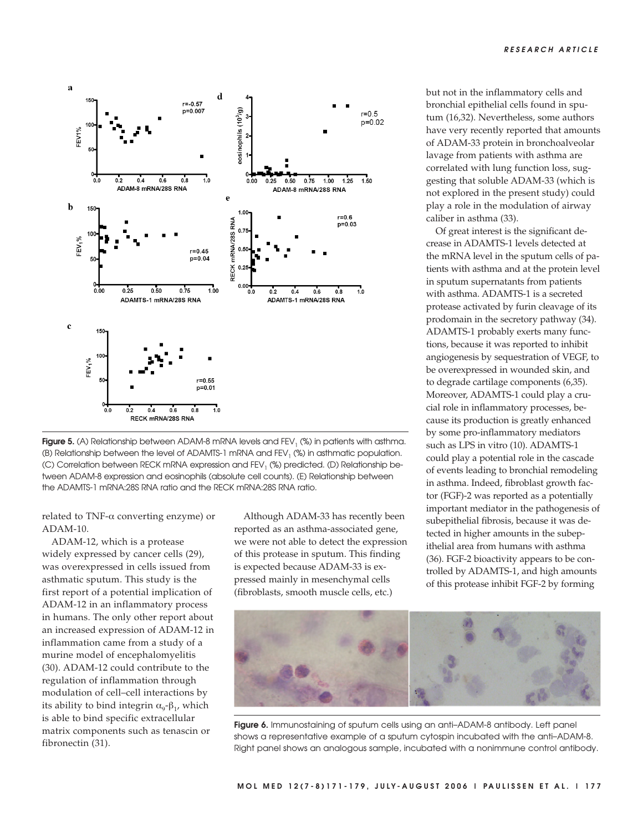

**Figure 5.** (A) Relationship between ADAM-8 mRNA levels and  $FEV<sub>1</sub>$  (%) in patients with asthma. (B) Relationship between the level of ADAMTS-1 mRNA and FEV<sub>1</sub> (%) in asthmatic population. (C) Correlation between RECK mRNA expression and FEV<sub>1</sub> (%) predicted. (D) Relationship between ADAM-8 expression and eosinophils (absolute cell counts). (E) Relationship between the ADAMTS-1 mRNA:28S RNA ratio and the RECK mRNA:28S RNA ratio.

related to TNF-α converting enzyme) or ADAM-10.

ADAM-12, which is a protease widely expressed by cancer cells (29), was overexpressed in cells issued from asthmatic sputum. This study is the first report of a potential implication of ADAM-12 in an inflammatory process in humans. The only other report about an increased expression of ADAM-12 in inflammation came from a study of a murine model of encephalomyelitis (30). ADAM-12 could contribute to the regulation of inflammation through modulation of cell–cell interactions by its ability to bind integrin  $\alpha_{9}$ - $\beta_{1}$ , which is able to bind specific extracellular matrix components such as tenascin or fibronectin (31).

Although ADAM-33 has recently been reported as an asthma-associated gene, we were not able to detect the expression of this protease in sputum. This finding is expected because ADAM-33 is expressed mainly in mesenchymal cells (fibroblasts, smooth muscle cells, etc.)

but not in the inflammatory cells and bronchial epithelial cells found in sputum (16,32). Nevertheless, some authors have very recently reported that amounts of ADAM-33 protein in bronchoalveolar lavage from patients with asthma are correlated with lung function loss, suggesting that soluble ADAM-33 (which is not explored in the present study) could play a role in the modulation of airway caliber in asthma (33).

Of great interest is the significant decrease in ADAMTS-1 levels detected at the mRNA level in the sputum cells of patients with asthma and at the protein level in sputum supernatants from patients with asthma. ADAMTS-1 is a secreted protease activated by furin cleavage of its prodomain in the secretory pathway (34). ADAMTS-1 probably exerts many functions, because it was reported to inhibit angiogenesis by sequestration of VEGF, to be overexpressed in wounded skin, and to degrade cartilage components (6,35). Moreover, ADAMTS-1 could play a crucial role in inflammatory processes, because its production is greatly enhanced by some pro-inflammatory mediators such as LPS in vitro (10). ADAMTS-1 could play a potential role in the cascade of events leading to bronchial remodeling in asthma. Indeed, fibroblast growth factor (FGF)-2 was reported as a potentially important mediator in the pathogenesis of subepithelial fibrosis, because it was detected in higher amounts in the subepithelial area from humans with asthma (36). FGF-2 bioactivity appears to be controlled by ADAMTS-1, and high amounts of this protease inhibit FGF-2 by forming



**Figure 6.** Immunostaining of sputum cells using an anti–ADAM-8 antibody. Left panel shows a representative example of a sputum cytospin incubated with the anti–ADAM-8. Right panel shows an analogous sample, incubated with a nonimmune control antibody.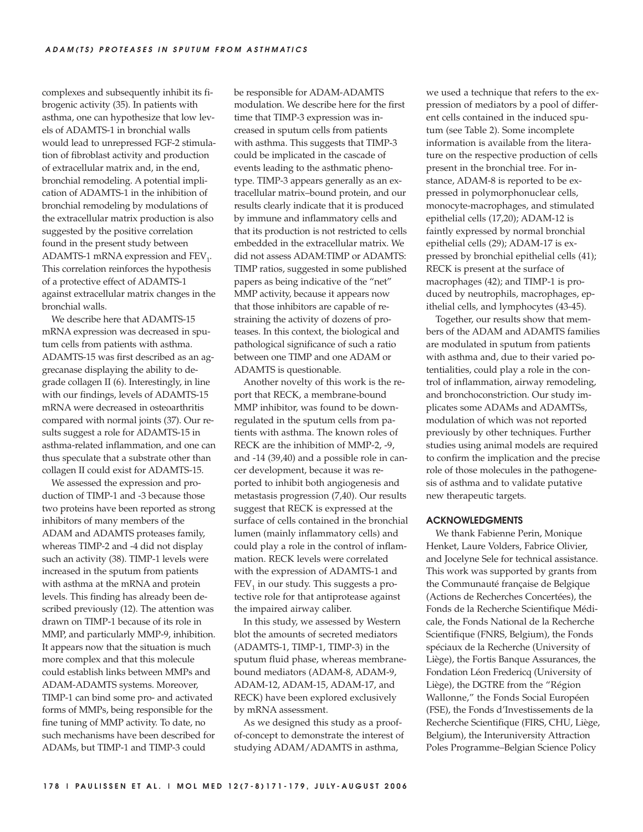complexes and subsequently inhibit its fibrogenic activity (35). In patients with asthma, one can hypothesize that low levels of ADAMTS-1 in bronchial walls would lead to unrepressed FGF-2 stimulation of fibroblast activity and production of extracellular matrix and, in the end, bronchial remodeling. A potential implication of ADAMTS-1 in the inhibition of bronchial remodeling by modulations of the extracellular matrix production is also suggested by the positive correlation found in the present study between ADAMTS-1 mRNA expression and  $FEV<sub>1</sub>$ . This correlation reinforces the hypothesis of a protective effect of ADAMTS-1 against extracellular matrix changes in the bronchial walls.

We describe here that ADAMTS-15 mRNA expression was decreased in sputum cells from patients with asthma. ADAMTS-15 was first described as an aggrecanase displaying the ability to degrade collagen II (6). Interestingly, in line with our findings, levels of ADAMTS-15 mRNA were decreased in osteoarthritis compared with normal joints (37). Our results suggest a role for ADAMTS-15 in asthma-related inflammation, and one can thus speculate that a substrate other than collagen II could exist for ADAMTS-15.

We assessed the expression and production of TIMP-1 and -3 because those two proteins have been reported as strong inhibitors of many members of the ADAM and ADAMTS proteases family, whereas TIMP-2 and -4 did not display such an activity (38). TIMP-1 levels were increased in the sputum from patients with asthma at the mRNA and protein levels. This finding has already been described previously (12). The attention was drawn on TIMP-1 because of its role in MMP, and particularly MMP-9, inhibition. It appears now that the situation is much more complex and that this molecule could establish links between MMPs and ADAM-ADAMTS systems. Moreover, TIMP-1 can bind some pro- and activated forms of MMPs, being responsible for the fine tuning of MMP activity. To date, no such mechanisms have been described for ADAMs, but TIMP-1 and TIMP-3 could

be responsible for ADAM-ADAMTS modulation. We describe here for the first time that TIMP-3 expression was increased in sputum cells from patients with asthma. This suggests that TIMP-3 could be implicated in the cascade of events leading to the asthmatic phenotype. TIMP-3 appears generally as an extracellular matrix–bound protein, and our results clearly indicate that it is produced by immune and inflammatory cells and that its production is not restricted to cells embedded in the extracellular matrix. We did not assess ADAM:TIMP or ADAMTS: TIMP ratios, suggested in some published papers as being indicative of the "net" MMP activity, because it appears now that those inhibitors are capable of restraining the activity of dozens of proteases. In this context, the biological and pathological significance of such a ratio between one TIMP and one ADAM or ADAMTS is questionable.

Another novelty of this work is the report that RECK, a membrane-bound MMP inhibitor, was found to be downregulated in the sputum cells from patients with asthma. The known roles of RECK are the inhibition of MMP-2, -9, and -14 (39,40) and a possible role in cancer development, because it was reported to inhibit both angiogenesis and metastasis progression (7,40). Our results suggest that RECK is expressed at the surface of cells contained in the bronchial lumen (mainly inflammatory cells) and could play a role in the control of inflammation. RECK levels were correlated with the expression of ADAMTS-1 and  $FEV<sub>1</sub>$  in our study. This suggests a protective role for that antiprotease against the impaired airway caliber.

In this study, we assessed by Western blot the amounts of secreted mediators (ADAMTS-1, TIMP-1, TIMP-3) in the sputum fluid phase, whereas membranebound mediators (ADAM-8, ADAM-9, ADAM-12, ADAM-15, ADAM-17, and RECK) have been explored exclusively by mRNA assessment.

As we designed this study as a proofof-concept to demonstrate the interest of studying ADAM/ADAMTS in asthma,

we used a technique that refers to the expression of mediators by a pool of different cells contained in the induced sputum (see Table 2). Some incomplete information is available from the literature on the respective production of cells present in the bronchial tree. For instance, ADAM-8 is reported to be expressed in polymorphonuclear cells, monocyte-macrophages, and stimulated epithelial cells (17,20); ADAM-12 is faintly expressed by normal bronchial epithelial cells (29); ADAM-17 is expressed by bronchial epithelial cells (41); RECK is present at the surface of macrophages (42); and TIMP-1 is produced by neutrophils, macrophages, epithelial cells, and lymphocytes (43-45).

Together, our results show that members of the ADAM and ADAMTS families are modulated in sputum from patients with asthma and, due to their varied potentialities, could play a role in the control of inflammation, airway remodeling, and bronchoconstriction. Our study implicates some ADAMs and ADAMTSs, modulation of which was not reported previously by other techniques. Further studies using animal models are required to confirm the implication and the precise role of those molecules in the pathogenesis of asthma and to validate putative new therapeutic targets.

#### **ACKNOWLEDGMENTS**

We thank Fabienne Perin, Monique Henket, Laure Volders, Fabrice Olivier, and Jocelyne Sele for technical assistance. This work was supported by grants from the Communauté française de Belgique (Actions de Recherches Concertées), the Fonds de la Recherche Scientifique Médicale, the Fonds National de la Recherche Scientifique (FNRS, Belgium), the Fonds spéciaux de la Recherche (University of Liège), the Fortis Banque Assurances, the Fondation Léon Fredericq (University of Liège), the DGTRE from the "Région Wallonne," the Fonds Social Européen (FSE), the Fonds d'Investissements de la Recherche Scientifique (FIRS, CHU, Liège, Belgium), the Interuniversity Attraction Poles Programme–Belgian Science Policy